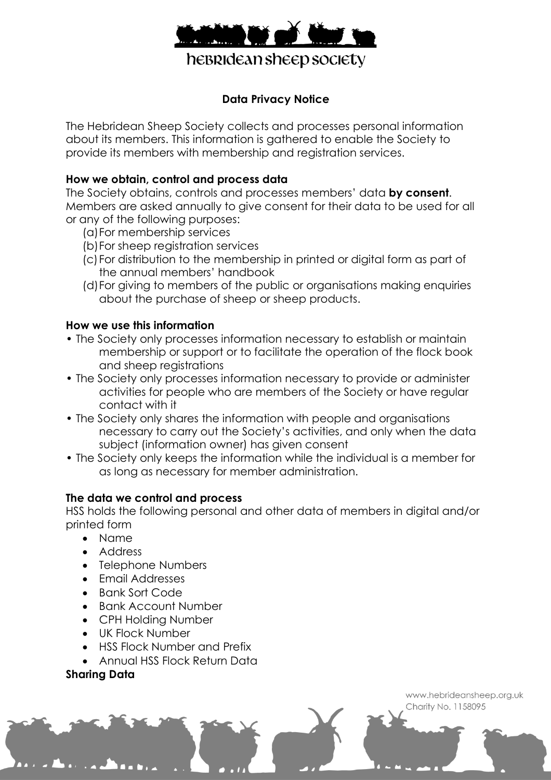

# **Data Privacy Notice**

The Hebridean Sheep Society collects and processes personal information about its members. This information is gathered to enable the Society to provide its members with membership and registration services.

# **How we obtain, control and process data**

The Society obtains, controls and processes members' data **by consent**. Members are asked annually to give consent for their data to be used for all or any of the following purposes:

- (a)For membership services
- (b)For sheep registration services
- (c)For distribution to the membership in printed or digital form as part of the annual members' handbook
- (d)For giving to members of the public or organisations making enquiries about the purchase of sheep or sheep products.

## **How we use this information**

- The Society only processes information necessary to establish or maintain membership or support or to facilitate the operation of the flock book and sheep registrations
- The Society only processes information necessary to provide or administer activities for people who are members of the Society or have regular contact with it
- The Society only shares the information with people and organisations necessary to carry out the Society's activities, and only when the data subject (information owner) has given consent
- The Society only keeps the information while the individual is a member for as long as necessary for member administration.

## **The data we control and process**

HSS holds the following personal and other data of members in digital and/or printed form

- Name
- Address
- Telephone Numbers
- Email Addresses
- Bank Sort Code
- Bank Account Number
- CPH Holding Number
- UK Flock Number
- HSS Flock Number and Prefix
- Annual HSS Flock Return Data

## **Sharing Data**

www.hebrideansheep.org.uk Charity No. 1158095